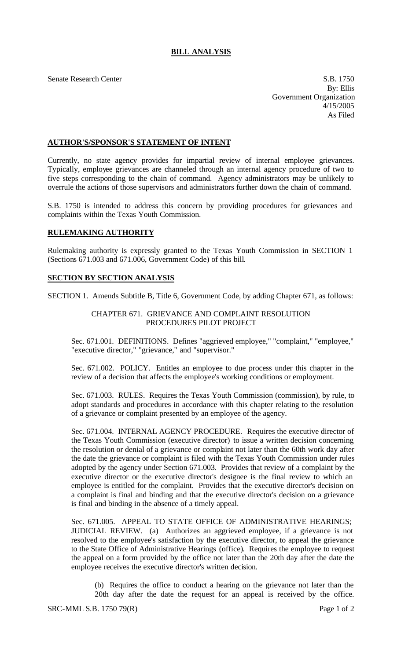## **BILL ANALYSIS**

Senate Research Center S.B. 1750 By: Ellis Government Organization 4/15/2005 As Filed

### **AUTHOR'S/SPONSOR'S STATEMENT OF INTENT**

Currently, no state agency provides for impartial review of internal employee grievances. Typically, employee grievances are channeled through an internal agency procedure of two to five steps corresponding to the chain of command. Agency administrators may be unlikely to overrule the actions of those supervisors and administrators further down the chain of command.

S.B. 1750 is intended to address this concern by providing procedures for grievances and complaints within the Texas Youth Commission.

# **RULEMAKING AUTHORITY**

Rulemaking authority is expressly granted to the Texas Youth Commission in SECTION 1 (Sections 671.003 and 671.006, Government Code) of this bill.

#### **SECTION BY SECTION ANALYSIS**

SECTION 1. Amends Subtitle B, Title 6, Government Code, by adding Chapter 671, as follows:

#### CHAPTER 671. GRIEVANCE AND COMPLAINT RESOLUTION PROCEDURES PILOT PROJECT

Sec. 671.001. DEFINITIONS. Defines "aggrieved employee," "complaint," "employee," "executive director," "grievance," and "supervisor."

Sec. 671.002. POLICY. Entitles an employee to due process under this chapter in the review of a decision that affects the employee's working conditions or employment.

Sec. 671.003. RULES. Requires the Texas Youth Commission (commission), by rule, to adopt standards and procedures in accordance with this chapter relating to the resolution of a grievance or complaint presented by an employee of the agency.

Sec. 671.004. INTERNAL AGENCY PROCEDURE. Requires the executive director of the Texas Youth Commission (executive director) to issue a written decision concerning the resolution or denial of a grievance or complaint not later than the 60th work day after the date the grievance or complaint is filed with the Texas Youth Commission under rules adopted by the agency under Section 671.003. Provides that review of a complaint by the executive director or the executive director's designee is the final review to which an employee is entitled for the complaint. Provides that the executive director's decision on a complaint is final and binding and that the executive director's decision on a grievance is final and binding in the absence of a timely appeal.

Sec. 671.005. APPEAL TO STATE OFFICE OF ADMINISTRATIVE HEARINGS; JUDICIAL REVIEW. (a) Authorizes an aggrieved employee, if a grievance is not resolved to the employee's satisfaction by the executive director, to appeal the grievance to the State Office of Administrative Hearings (office). Requires the employee to request the appeal on a form provided by the office not later than the 20th day after the date the employee receives the executive director's written decision.

(b) Requires the office to conduct a hearing on the grievance not later than the 20th day after the date the request for an appeal is received by the office.